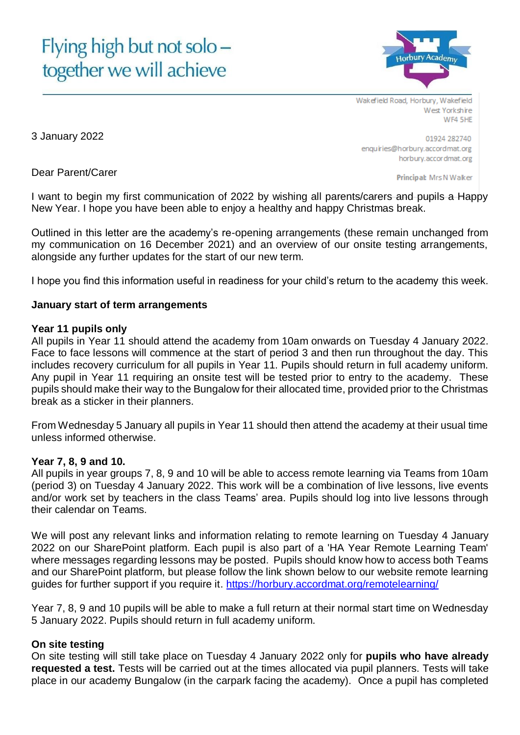# Flying high but not solo together we will achieve



Wakefield Road, Horbury, Wakefield West Yorkshire WF4 5HE

3 January 2022

Dear Parent/Carer

01924 282740 enquiries@horbury.accordmat.org horbury.accordmat.org

Principal: Mrs N Walker

I want to begin my first communication of 2022 by wishing all parents/carers and pupils a Happy New Year. I hope you have been able to enjoy a healthy and happy Christmas break.

Outlined in this letter are the academy's re-opening arrangements (these remain unchanged from my communication on 16 December 2021) and an overview of our onsite testing arrangements, alongside any further updates for the start of our new term.

I hope you find this information useful in readiness for your child's return to the academy this week.

#### **January start of term arrangements**

#### **Year 11 pupils only**

All pupils in Year 11 should attend the academy from 10am onwards on Tuesday 4 January 2022. Face to face lessons will commence at the start of period 3 and then run throughout the day. This includes recovery curriculum for all pupils in Year 11. Pupils should return in full academy uniform. Any pupil in Year 11 requiring an onsite test will be tested prior to entry to the academy. These pupils should make their way to the Bungalow for their allocated time, provided prior to the Christmas break as a sticker in their planners.

From Wednesday 5 January all pupils in Year 11 should then attend the academy at their usual time unless informed otherwise.

#### **Year 7, 8, 9 and 10.**

All pupils in year groups 7, 8, 9 and 10 will be able to access remote learning via Teams from 10am (period 3) on Tuesday 4 January 2022. This work will be a combination of live lessons, live events and/or work set by teachers in the class Teams' area. Pupils should log into live lessons through their calendar on Teams.

We will post any relevant links and information relating to remote learning on Tuesday 4 January 2022 on our SharePoint platform. Each pupil is also part of a 'HA Year Remote Learning Team' where messages regarding lessons may be posted. Pupils should know how to access both Teams and our SharePoint platform, but please follow the link shown below to our website remote learning guides for further support if you require it. <https://horbury.accordmat.org/remotelearning/>

Year 7, 8, 9 and 10 pupils will be able to make a full return at their normal start time on Wednesday 5 January 2022. Pupils should return in full academy uniform.

## **On site testing**

On site testing will still take place on Tuesday 4 January 2022 only for **pupils who have already requested a test.** Tests will be carried out at the times allocated via pupil planners. Tests will take place in our academy Bungalow (in the carpark facing the academy). Once a pupil has completed